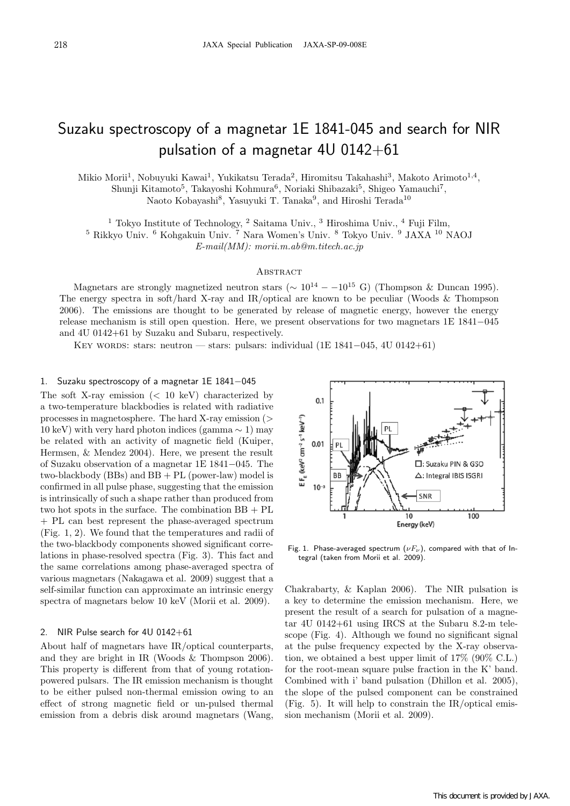# Suzaku spectroscopy of a magnetar 1E 1841-045 and search for NIR pulsation of a magnetar 4U 0142+61

Mikio Morii<sup>1</sup>, Nobuyuki Kawai<sup>1</sup>, Yukikatsu Terada<sup>2</sup>, Hiromitsu Takahashi<sup>3</sup>, Makoto Arimoto<sup>1,4</sup>,

Shunji Kitamoto<sup>5</sup>, Takayoshi Kohmura<sup>6</sup>, Noriaki Shibazaki<sup>5</sup>, Shigeo Yamauchi<sup>7</sup>,

Naoto Kobayashi<sup>8</sup>, Yasuyuki T. Tanaka<sup>9</sup>, and Hiroshi Terada<sup>10</sup>

<sup>1</sup> Tokyo Institute of Technology,  $^2$  Saitama Univ.,  $^3$  Hiroshima Univ.,  $^4$  Fuji Film,

<sup>5</sup> Rikkyo Univ. <sup>6</sup> Kohgakuin Univ. <sup>7</sup> Nara Women's Univ. <sup>8</sup> Tokyo Univ. <sup>9</sup> JAXA <sup>10</sup> NAOJ

*E-mail(MM): morii.m.ab@m.titech.ac.jp*

## **ABSTRACT**

Magnetars are strongly magnetized neutron stars ( $\sim 10^{14} - (-10^{15} \text{ G})$  (Thompson & Duncan 1995). The energy spectra in soft/hard X-ray and IR/optical are known to be peculiar (Woods & Thompson 2006). The emissions are thought to be generated by release of magnetic energy, however the energy release mechanism is still open question. Here, we present observations for two magnetars 1E 1841*−*045 and 4U 0142+61 by Suzaku and Subaru, respectively.

Key words: stars: neutron — stars: pulsars: individual (1E 1841*−*045, 4U 0142+61)

## 1. Suzaku spectroscopy of a magnetar 1E 1841*−*045

The soft X-ray emission (*<* 10 keV) characterized by a two-temperature blackbodies is related with radiative processes in magnetosphere. The hard X-ray emission (*>* 10 keV) with very hard photon indices (gamma *∼* 1) may be related with an activity of magnetic field (Kuiper, Hermsen, & Mendez 2004). Here, we present the result of Suzaku observation of a magnetar 1E 1841*−*045. The two-blackbody (BBs) and  $BB + PL$  (power-law) model is confirmed in all pulse phase, suggesting that the emission is intrinsically of such a shape rather than produced from two hot spots in the surface. The combination BB + PL + PL can best represent the phase-averaged spectrum (Fig. 1, 2). We found that the temperatures and radii of the two-blackbody components showed significant correlations in phase-resolved spectra (Fig. 3). This fact and the same correlations among phase-averaged spectra of various magnetars (Nakagawa et al. 2009) suggest that a self-similar function can approximate an intrinsic energy spectra of magnetars below 10 keV (Morii et al. 2009).

### 2. NIR Pulse search for 4U 0142+61

About half of magnetars have IR/optical counterparts, and they are bright in IR (Woods & Thompson 2006). This property is different from that of young rotationpowered pulsars. The IR emission mechanism is thought to be either pulsed non-thermal emission owing to an effect of strong magnetic field or un-pulsed thermal emission from a debris disk around magnetars (Wang,



Fig. 1. Phase-averaged spectrum (*νFν*), compared with that of Integral (taken from Morii et al. 2009).

Chakrabarty, & Kaplan 2006). The NIR pulsation is a key to determine the emission mechanism. Here, we present the result of a search for pulsation of a magnetar 4U 0142+61 using IRCS at the Subaru 8.2-m telescope (Fig. 4). Although we found no significant signal at the pulse frequency expected by the X-ray observation, we obtained a best upper limit of 17% (90% C.L.) for the root-mean square pulse fraction in the K' band. Combined with i' band pulsation (Dhillon et al. 2005), the slope of the pulsed component can be constrained (Fig. 5). It will help to constrain the IR/optical emission mechanism (Morii et al. 2009).